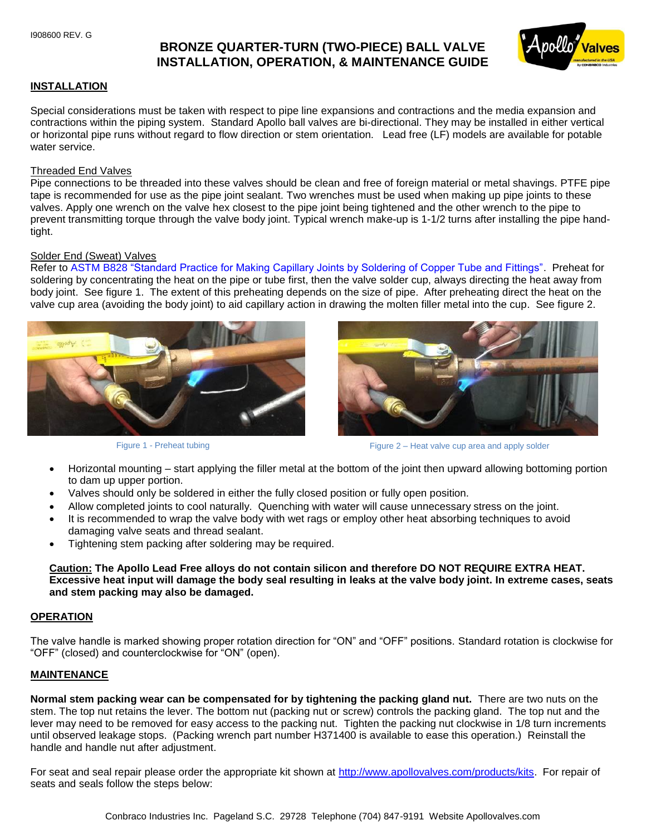# **BRONZE QUARTER-TURN (TWO-PIECE) BALL VALVE INSTALLATION, OPERATION, & MAINTENANCE GUIDE**



# **INSTALLATION**

Special considerations must be taken with respect to pipe line expansions and contractions and the media expansion and contractions within the piping system. Standard Apollo ball valves are bi-directional. They may be installed in either vertical or horizontal pipe runs without regard to flow direction or stem orientation. Lead free (LF) models are available for potable water service.

# Threaded End Valves

Pipe connections to be threaded into these valves should be clean and free of foreign material or metal shavings. PTFE pipe tape is recommended for use as the pipe joint sealant. Two wrenches must be used when making up pipe joints to these valves. Apply one wrench on the valve hex closest to the pipe joint being tightened and the other wrench to the pipe to prevent transmitting torque through the valve body joint. Typical wrench make-up is 1-1/2 turns after installing the pipe handtight.

# Solder End (Sweat) Valves

Refer to ASTM B828 "Standard Practice for Making Capillary Joints by Soldering of Copper Tube and Fittings". Preheat for soldering by concentrating the heat on the pipe or tube first, then the valve solder cup, always directing the heat away from body joint. See figure 1. The extent of this preheating depends on the size of pipe. After preheating direct the heat on the valve cup area (avoiding the body joint) to aid capillary action in drawing the molten filler metal into the cup. See figure 2.





Figure 1 - Preheat tubing Figure 2 – Heat valve cup area and apply solder

- Horizontal mounting start applying the filler metal at the bottom of the joint then upward allowing bottoming portion to dam up upper portion.
- Valves should only be soldered in either the fully closed position or fully open position.
- Allow completed joints to cool naturally. Quenching with water will cause unnecessary stress on the joint.
- It is recommended to wrap the valve body with wet rags or employ other heat absorbing techniques to avoid damaging valve seats and thread sealant.
- Tightening stem packing after soldering may be required.

**Caution: The Apollo Lead Free alloys do not contain silicon and therefore DO NOT REQUIRE EXTRA HEAT. Excessive heat input will damage the body seal resulting in leaks at the valve body joint. In extreme cases, seats and stem packing may also be damaged.**

#### **OPERATION**

The valve handle is marked showing proper rotation direction for "ON" and "OFF" positions. Standard rotation is clockwise for "OFF" (closed) and counterclockwise for "ON" (open).

# **MAINTENANCE**

**Normal stem packing wear can be compensated for by tightening the packing gland nut.** There are two nuts on the stem. The top nut retains the lever. The bottom nut (packing nut or screw) controls the packing gland. The top nut and the lever may need to be removed for easy access to the packing nut. Tighten the packing nut clockwise in 1/8 turn increments until observed leakage stops. (Packing wrench part number H371400 is available to ease this operation.) Reinstall the handle and handle nut after adjustment.

For seat and seal repair please order the appropriate kit shown at [http://www.apollovalves.com/products/kits.](http://www.apollovalves.com/products/kits) For repair of seats and seals follow the steps below: